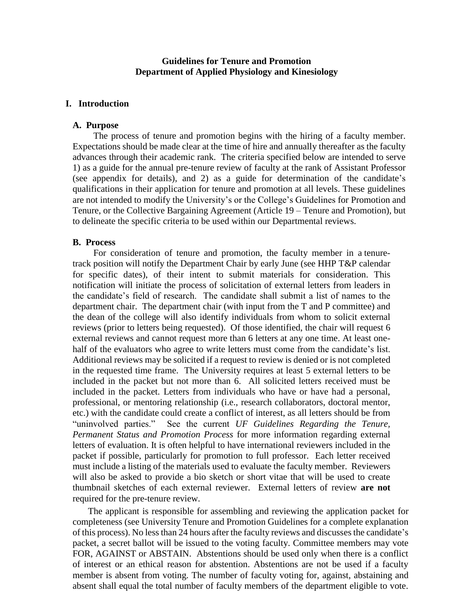### **Guidelines for Tenure and Promotion Department of Applied Physiology and Kinesiology**

### **I. Introduction**

### **A. Purpose**

The process of tenure and promotion begins with the hiring of a faculty member. Expectations should be made clear at the time of hire and annually thereafter as the faculty advances through their academic rank. The criteria specified below are intended to serve 1) as a guide for the annual pre-tenure review of faculty at the rank of Assistant Professor (see appendix for details), and 2) as a guide for determination of the candidate's qualifications in their application for tenure and promotion at all levels. These guidelines are not intended to modify the University's or the College's Guidelines for Promotion and Tenure, or the Collective Bargaining Agreement (Article 19 – Tenure and Promotion), but to delineate the specific criteria to be used within our Departmental reviews.

#### **B. Process**

 For consideration of tenure and promotion, the faculty member in a tenuretrack position will notify the Department Chair by early June (see HHP T&P calendar for specific dates), of their intent to submit materials for consideration. This notification will initiate the process of solicitation of external letters from leaders in the candidate's field of research. The candidate shall submit a list of names to the department chair. The department chair (with input from the T and P committee) and the dean of the college will also identify individuals from whom to solicit external reviews (prior to letters being requested). Of those identified, the chair will request 6 external reviews and cannot request more than 6 letters at any one time. At least onehalf of the evaluators who agree to write letters must come from the candidate's list. Additional reviews may be solicited if a request to review is denied or is not completed in the requested time frame. The University requires at least 5 external letters to be included in the packet but not more than 6. All solicited letters received must be included in the packet. Letters from individuals who have or have had a personal, professional, or mentoring relationship (i.e., research collaborators, doctoral mentor, etc.) with the candidate could create a conflict of interest, as all letters should be from "uninvolved parties." See the current *UF Guidelines Regarding the Tenure, Permanent Status and Promotion Process* for more information regarding external letters of evaluation. It is often helpful to have international reviewers included in the packet if possible, particularly for promotion to full professor. Each letter received must include a listing of the materials used to evaluate the faculty member. Reviewers will also be asked to provide a bio sketch or short vitae that will be used to create thumbnail sketches of each external reviewer. External letters of review **are not**  required for the pre-tenure review.

The applicant is responsible for assembling and reviewing the application packet for completeness (see University Tenure and Promotion Guidelines for a complete explanation of this process). No less than 24 hours after the faculty reviews and discusses the candidate's packet, a secret ballot will be issued to the voting faculty. Committee members may vote FOR, AGAINST or ABSTAIN. Abstentions should be used only when there is a conflict of interest or an ethical reason for abstention. Abstentions are not be used if a faculty member is absent from voting. The number of faculty voting for, against, abstaining and absent shall equal the total number of faculty members of the department eligible to vote.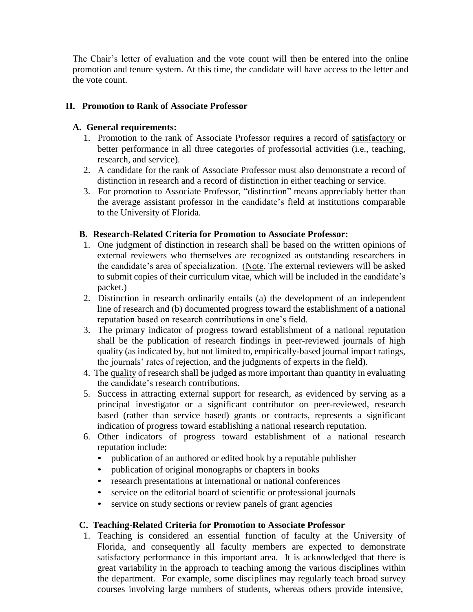The Chair's letter of evaluation and the vote count will then be entered into the online promotion and tenure system. At this time, the candidate will have access to the letter and the vote count.

## **II. Promotion to Rank of Associate Professor**

# **A. General requirements:**

- 1. Promotion to the rank of Associate Professor requires a record of satisfactory or better performance in all three categories of professorial activities (i.e., teaching, research, and service).
- 2. A candidate for the rank of Associate Professor must also demonstrate a record of distinction in research and a record of distinction in either teaching or service.
- 3. For promotion to Associate Professor, "distinction" means appreciably better than the average assistant professor in the candidate's field at institutions comparable to the University of Florida.

# **B. Research-Related Criteria for Promotion to Associate Professor:**

- 1. One judgment of distinction in research shall be based on the written opinions of external reviewers who themselves are recognized as outstanding researchers in the candidate's area of specialization. (Note. The external reviewers will be asked to submit copies of their curriculum vitae, which will be included in the candidate's packet.)
- 2. Distinction in research ordinarily entails (a) the development of an independent line of research and (b) documented progress toward the establishment of a national reputation based on research contributions in one's field.
- 3. The primary indicator of progress toward establishment of a national reputation shall be the publication of research findings in peer-reviewed journals of high quality (as indicated by, but not limited to, empirically-based journal impact ratings, the journals' rates of rejection, and the judgments of experts in the field).
- 4. The quality of research shall be judged as more important than quantity in evaluating the candidate's research contributions.
- 5. Success in attracting external support for research, as evidenced by serving as a principal investigator or a significant contributor on peer-reviewed, research based (rather than service based) grants or contracts, represents a significant indication of progress toward establishing a national research reputation.
- 6. Other indicators of progress toward establishment of a national research reputation include:
	- publication of an authored or edited book by a reputable publisher
	- publication of original monographs or chapters in books
	- research presentations at international or national conferences
	- service on the editorial board of scientific or professional journals
	- service on study sections or review panels of grant agencies

## **C. Teaching-Related Criteria for Promotion to Associate Professor**

1. Teaching is considered an essential function of faculty at the University of Florida, and consequently all faculty members are expected to demonstrate satisfactory performance in this important area. It is acknowledged that there is great variability in the approach to teaching among the various disciplines within the department. For example, some disciplines may regularly teach broad survey courses involving large numbers of students, whereas others provide intensive,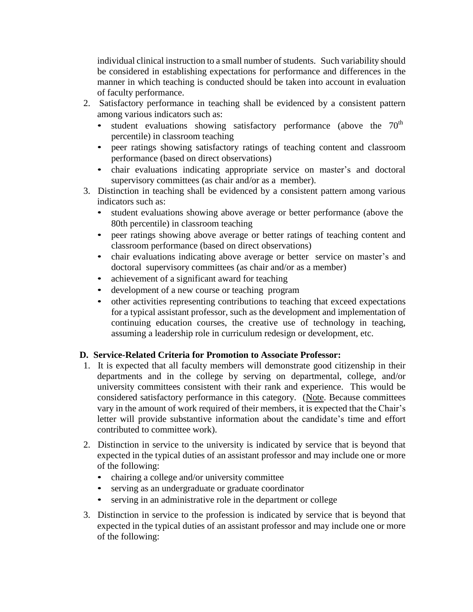individual clinical instruction to a small number of students. Such variability should be considered in establishing expectations for performance and differences in the manner in which teaching is conducted should be taken into account in evaluation of faculty performance.

- 2. Satisfactory performance in teaching shall be evidenced by a consistent pattern among various indicators such as:
	- student evaluations showing satisfactory performance (above the  $70<sup>th</sup>$ percentile) in classroom teaching
	- peer ratings showing satisfactory ratings of teaching content and classroom performance (based on direct observations)
	- chair evaluations indicating appropriate service on master's and doctoral supervisory committees (as chair and/or as a member).
- 3. Distinction in teaching shall be evidenced by a consistent pattern among various indicators such as:
	- student evaluations showing above average or better performance (above the 80th percentile) in classroom teaching
	- peer ratings showing above average or better ratings of teaching content and classroom performance (based on direct observations)
	- chair evaluations indicating above average or better service on master's and doctoral supervisory committees (as chair and/or as a member)
	- achievement of a significant award for teaching
	- development of a new course or teaching program
	- other activities representing contributions to teaching that exceed expectations for a typical assistant professor, such as the development and implementation of continuing education courses, the creative use of technology in teaching, assuming a leadership role in curriculum redesign or development, etc.

# **D. Service-Related Criteria for Promotion to Associate Professor:**

- 1. It is expected that all faculty members will demonstrate good citizenship in their departments and in the college by serving on departmental, college, and/or university committees consistent with their rank and experience. This would be considered satisfactory performance in this category. (Note. Because committees vary in the amount of work required of their members, it is expected that the Chair's letter will provide substantive information about the candidate's time and effort contributed to committee work).
- 2. Distinction in service to the university is indicated by service that is beyond that expected in the typical duties of an assistant professor and may include one or more of the following:
	- chairing a college and/or university committee
	- serving as an undergraduate or graduate coordinator
	- serving in an administrative role in the department or college
- 3. Distinction in service to the profession is indicated by service that is beyond that expected in the typical duties of an assistant professor and may include one or more of the following: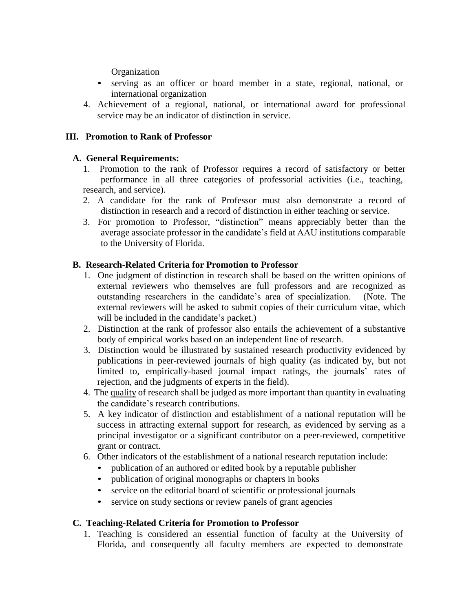Organization

- serving as an officer or board member in a state, regional, national, or international organization
- 4. Achievement of a regional, national, or international award for professional service may be an indicator of distinction in service.

# **III. Promotion to Rank of Professor**

# **A. General Requirements:**

- 1. Promotion to the rank of Professor requires a record of satisfactory or better performance in all three categories of professorial activities (i.e., teaching, research, and service).
- 2. A candidate for the rank of Professor must also demonstrate a record of distinction in research and a record of distinction in either teaching or service.
- 3. For promotion to Professor, "distinction" means appreciably better than the average associate professor in the candidate's field at AAU institutions comparable to the University of Florida.

# **B. Research-Related Criteria for Promotion to Professor**

- 1. One judgment of distinction in research shall be based on the written opinions of external reviewers who themselves are full professors and are recognized as outstanding researchers in the candidate's area of specialization. (Note. The external reviewers will be asked to submit copies of their curriculum vitae, which will be included in the candidate's packet.)
- 2. Distinction at the rank of professor also entails the achievement of a substantive body of empirical works based on an independent line of research.
- 3. Distinction would be illustrated by sustained research productivity evidenced by publications in peer-reviewed journals of high quality (as indicated by, but not limited to, empirically-based journal impact ratings, the journals' rates of rejection, and the judgments of experts in the field).
- 4. The quality of research shall be judged as more important than quantity in evaluating the candidate's research contributions.
- 5. A key indicator of distinction and establishment of a national reputation will be success in attracting external support for research, as evidenced by serving as a principal investigator or a significant contributor on a peer-reviewed, competitive grant or contract.
- 6. Other indicators of the establishment of a national research reputation include:
	- publication of an authored or edited book by a reputable publisher
	- publication of original monographs or chapters in books
	- service on the editorial board of scientific or professional journals
	- service on study sections or review panels of grant agencies

## **C. Teaching-Related Criteria for Promotion to Professor**

1. Teaching is considered an essential function of faculty at the University of Florida, and consequently all faculty members are expected to demonstrate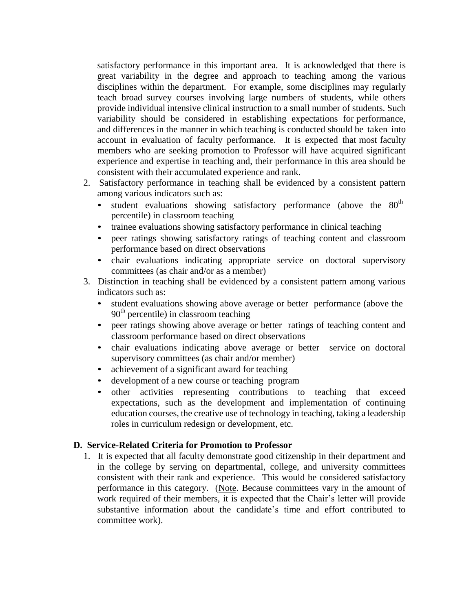satisfactory performance in this important area. It is acknowledged that there is great variability in the degree and approach to teaching among the various disciplines within the department. For example, some disciplines may regularly teach broad survey courses involving large numbers of students, while others provide individual intensive clinical instruction to a small number of students. Such variability should be considered in establishing expectations for performance, and differences in the manner in which teaching is conducted should be taken into account in evaluation of faculty performance. It is expected that most faculty members who are seeking promotion to Professor will have acquired significant experience and expertise in teaching and, their performance in this area should be consistent with their accumulated experience and rank.

- 2. Satisfactory performance in teaching shall be evidenced by a consistent pattern among various indicators such as:
	- student evaluations showing satisfactory performance (above the  $80<sup>th</sup>$ percentile) in classroom teaching
	- trainee evaluations showing satisfactory performance in clinical teaching
	- peer ratings showing satisfactory ratings of teaching content and classroom performance based on direct observations
	- chair evaluations indicating appropriate service on doctoral supervisory committees (as chair and/or as a member)
- 3. Distinction in teaching shall be evidenced by a consistent pattern among various indicators such as:
	- student evaluations showing above average or better performance (above the  $90<sup>th</sup>$  percentile) in classroom teaching
	- peer ratings showing above average or better ratings of teaching content and classroom performance based on direct observations
	- chair evaluations indicating above average or better service on doctoral supervisory committees (as chair and/or member)
	- achievement of a significant award for teaching
	- development of a new course or teaching program
	- other activities representing contributions to teaching that exceed expectations, such as the development and implementation of continuing education courses, the creative use of technology in teaching, taking a leadership roles in curriculum redesign or development, etc.

## **D. Service-Related Criteria for Promotion to Professor**

1. It is expected that all faculty demonstrate good citizenship in their department and in the college by serving on departmental, college, and university committees consistent with their rank and experience. This would be considered satisfactory performance in this category. (Note. Because committees vary in the amount of work required of their members, it is expected that the Chair's letter will provide substantive information about the candidate's time and effort contributed to committee work).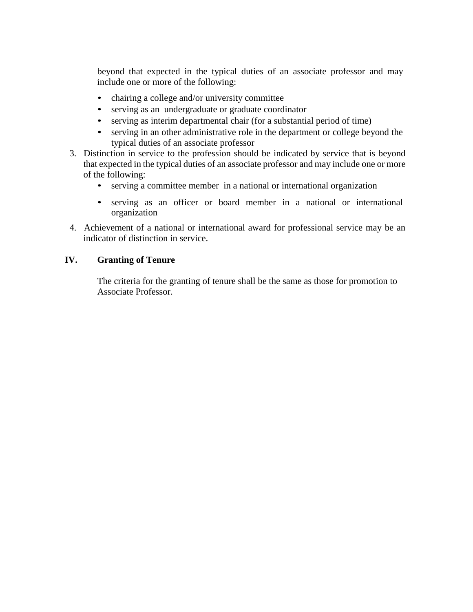beyond that expected in the typical duties of an associate professor and may include one or more of the following:

- chairing a college and/or university committee
- serving as an undergraduate or graduate coordinator
- serving as interim departmental chair (for a substantial period of time)
- serving in an other administrative role in the department or college beyond the typical duties of an associate professor
- 3. Distinction in service to the profession should be indicated by service that is beyond that expected in the typical duties of an associate professor and may include one or more of the following:
	- serving a committee member in a national or international organization
	- serving as an officer or board member in a national or international organization
- 4. Achievement of a national or international award for professional service may be an indicator of distinction in service.

# **IV. Granting of Tenure**

The criteria for the granting of tenure shall be the same as those for promotion to Associate Professor.